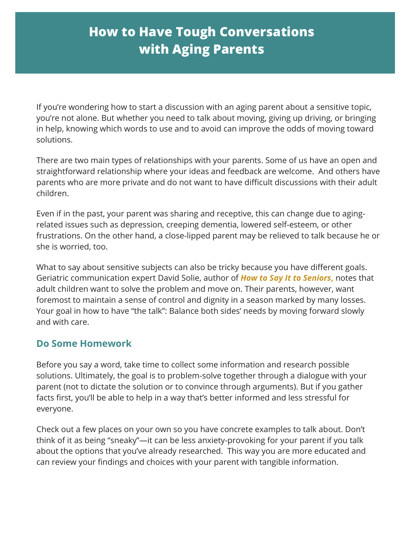## **How to Have Tough Conversations with Aging Parents**

If you're wondering how to start a discussion with an aging parent about a sensitive topic, you're not alone. But whether you need to talk about moving, giving up driving, or bringing in help, knowing which words to use and to avoid can improve the odds of moving toward solutions.

There are two main types of relationships with your parents. Some of us have an open and straightforward relationship where your ideas and feedback are welcome. And others have parents who are more private and do not want to have difficult discussions with their adult children.

Even if in the past, your parent was sharing and receptive, this can change due to agingrelated issues such as depression, creeping dementia, lowered self-esteem, or other frustrations. On the other hand, a close-lipped parent may be relieved to talk because he or she is worried, too.

What to say about sensitive subjects can also be tricky because you have different goals. Geriatric communication expert David Solie, author of *How to Say It to Seniors***,** notes that adult children want to solve the problem and move on. Their parents, however, want foremost to maintain a sense of control and dignity in a season marked by many losses. Your goal in how to have "the talk": Balance both sides' needs by moving forward slowly and with care.

## **Do Some Homework**

Before you say a word, take time to collect some information and research possible solutions. Ultimately, the goal is to problem-solve together through a dialogue with your parent (not to dictate the solution or to convince through arguments). But if you gather facts first, you'll be able to help in a way that's better informed and less stressful for everyone.

Check out a few places on your own so you have concrete examples to talk about. Don't think of it as being "sneaky"—it can be less anxiety-provoking for your parent if you talk about the options that you've already researched. This way you are more educated and can review your findings and choices with your parent with tangible information.